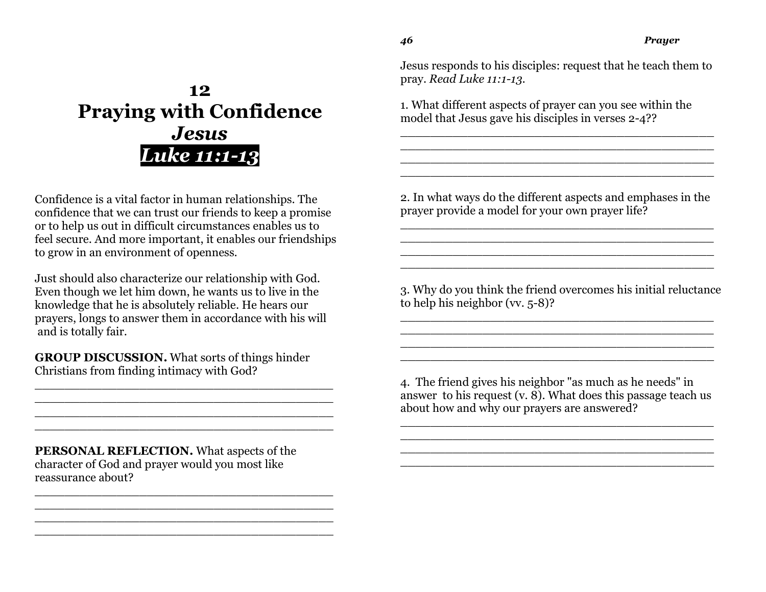**12 Praying with Confidence** *Jesus Luke 11:1-13*

Confidence is a vital factor in human relationships. The confidence that we can trust our friends to keep a promise or to help us out in difficult circumstances enables us to feel secure. And more important, it enables our friendships to grow in an environment of openness.

Just should also characterize our relationship with God. Even though we let him down, he wants us to live in the knowledge that he is absolutely reliable. He hears our prayers, longs to answer them in accordance with his will and is totally fair.

**GROUP DISCUSSION.** What sorts of things hinder Christians from finding intimacy with God?

\_\_\_\_\_\_\_\_\_\_\_\_\_\_\_\_\_\_\_\_\_\_\_\_\_\_\_\_\_\_\_\_\_\_\_\_\_\_\_\_ \_\_\_\_\_\_\_\_\_\_\_\_\_\_\_\_\_\_\_\_\_\_\_\_\_\_\_\_\_\_\_\_\_\_\_\_\_\_\_\_ \_\_\_\_\_\_\_\_\_\_\_\_\_\_\_\_\_\_\_\_\_\_\_\_\_\_\_\_\_\_\_\_\_\_\_\_\_\_\_\_ \_\_\_\_\_\_\_\_\_\_\_\_\_\_\_\_\_\_\_\_\_\_\_\_\_\_\_\_\_\_\_\_\_\_\_\_\_\_\_\_

\_\_\_\_\_\_\_\_\_\_\_\_\_\_\_\_\_\_\_\_\_\_\_\_\_\_\_\_\_\_\_\_\_\_\_\_\_\_\_\_ \_\_\_\_\_\_\_\_\_\_\_\_\_\_\_\_\_\_\_\_\_\_\_\_\_\_\_\_\_\_\_\_\_\_\_\_\_\_\_\_ \_\_\_\_\_\_\_\_\_\_\_\_\_\_\_\_\_\_\_\_\_\_\_\_\_\_\_\_\_\_\_\_\_\_\_\_\_\_\_\_ \_\_\_\_\_\_\_\_\_\_\_\_\_\_\_\_\_\_\_\_\_\_\_\_\_\_\_\_\_\_\_\_\_\_\_\_\_\_\_\_

**PERSONAL REFLECTION.** What aspects of the character of God and prayer would you most like reassurance about?

Jesus responds to his disciples: request that he teach them to pray. *Read Luke 11:1-13.*

\_\_\_\_\_\_\_\_\_\_\_\_\_\_\_\_\_\_\_\_\_\_\_\_\_\_\_\_\_\_\_\_\_\_\_\_\_\_\_\_\_\_ \_\_\_\_\_\_\_\_\_\_\_\_\_\_\_\_\_\_\_\_\_\_\_\_\_\_\_\_\_\_\_\_\_\_\_\_\_\_\_\_\_\_ \_\_\_\_\_\_\_\_\_\_\_\_\_\_\_\_\_\_\_\_\_\_\_\_\_\_\_\_\_\_\_\_\_\_\_\_\_\_\_\_\_\_ \_\_\_\_\_\_\_\_\_\_\_\_\_\_\_\_\_\_\_\_\_\_\_\_\_\_\_\_\_\_\_\_\_\_\_\_\_\_\_\_\_\_

1. What different aspects of prayer can you see within the model that Jesus gave his disciples in verses 2-4??

2. In what ways do the different aspects and emphases in the prayer provide a model for your own prayer life?

\_\_\_\_\_\_\_\_\_\_\_\_\_\_\_\_\_\_\_\_\_\_\_\_\_\_\_\_\_\_\_\_\_\_\_\_\_\_\_\_\_\_ \_\_\_\_\_\_\_\_\_\_\_\_\_\_\_\_\_\_\_\_\_\_\_\_\_\_\_\_\_\_\_\_\_\_\_\_\_\_\_\_\_\_ \_\_\_\_\_\_\_\_\_\_\_\_\_\_\_\_\_\_\_\_\_\_\_\_\_\_\_\_\_\_\_\_\_\_\_\_\_\_\_\_\_\_ \_\_\_\_\_\_\_\_\_\_\_\_\_\_\_\_\_\_\_\_\_\_\_\_\_\_\_\_\_\_\_\_\_\_\_\_\_\_\_\_\_\_

3. Why do you think the friend overcomes his initial reluctance to help his neighbor (vv. 5-8)?

\_\_\_\_\_\_\_\_\_\_\_\_\_\_\_\_\_\_\_\_\_\_\_\_\_\_\_\_\_\_\_\_\_\_\_\_\_\_\_\_\_\_ \_\_\_\_\_\_\_\_\_\_\_\_\_\_\_\_\_\_\_\_\_\_\_\_\_\_\_\_\_\_\_\_\_\_\_\_\_\_\_\_\_\_ \_\_\_\_\_\_\_\_\_\_\_\_\_\_\_\_\_\_\_\_\_\_\_\_\_\_\_\_\_\_\_\_\_\_\_\_\_\_\_\_\_\_ \_\_\_\_\_\_\_\_\_\_\_\_\_\_\_\_\_\_\_\_\_\_\_\_\_\_\_\_\_\_\_\_\_\_\_\_\_\_\_\_\_\_

4. The friend gives his neighbor "as much as he needs" in answer to his request (v. 8). What does this passage teach us about how and why our prayers are answered?

\_\_\_\_\_\_\_\_\_\_\_\_\_\_\_\_\_\_\_\_\_\_\_\_\_\_\_\_\_\_\_\_\_\_\_\_\_\_\_\_\_\_ \_\_\_\_\_\_\_\_\_\_\_\_\_\_\_\_\_\_\_\_\_\_\_\_\_\_\_\_\_\_\_\_\_\_\_\_\_\_\_\_\_\_ \_\_\_\_\_\_\_\_\_\_\_\_\_\_\_\_\_\_\_\_\_\_\_\_\_\_\_\_\_\_\_\_\_\_\_\_\_\_\_\_\_\_ \_\_\_\_\_\_\_\_\_\_\_\_\_\_\_\_\_\_\_\_\_\_\_\_\_\_\_\_\_\_\_\_\_\_\_\_\_\_\_\_\_\_